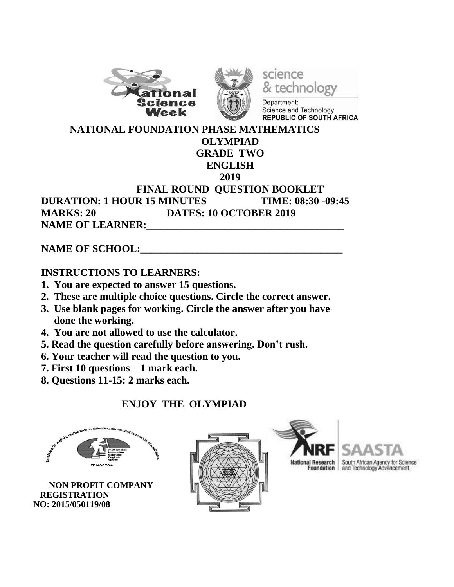





Department: Science and Technology REPUBLIC OF SOUTH AFRICA

 **NATIONAL FOUNDATION PHASE MATHEMATICS OLYMPIAD**

# **GRADE TWO**

#### **ENGLISH**

#### **2019**

**FINAL ROUND QUESTION BOOKLET DURATION: 1 HOUR 15 MINUTES TIME: 08:30 -09:45 MARKS: 20 DATES: 10 OCTOBER 2019 NAME OF LEARNER:** 

### **NAME OF SCHOOL:**

### **INSTRUCTIONS TO LEARNERS:**

- **1. You are expected to answer 15 questions.**
- **2. These are multiple choice questions. Circle the correct answer.**
- **3. Use blank pages for working. Circle the answer after you have done the working.**
- **4. You are not allowed to use the calculator.**
- **5. Read the question carefully before answering. Don't rush.**
- **6. Your teacher will read the question to you.**
- **7. First 10 questions – 1 mark each.**
- **8. Questions 11-15: 2 marks each.**

## **ENJOY THE OLYMPIAD**



 **NON PROFIT COMPANY REGISTRATION NO: 2015/050119/08**





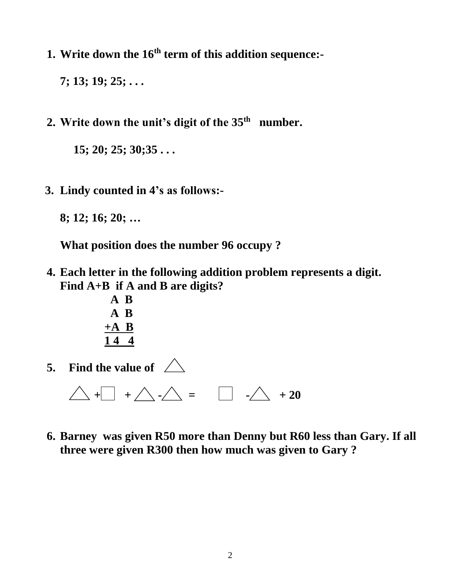**1. Write down the 16th term of this addition sequence:-**

**7; 13; 19; 25; . . .**

**2. Write down the unit's digit of the 35th number.**

**15; 20; 25; 30;35 . . .** 

 **3. Lindy counted in 4's as follows:-**

**8; 12; 16; 20; …**

**What position does the number 96 occupy ?** 

- **4. Each letter in the following addition problem represents a digit. Find A+B if A and B are digits?**
	- **A B A B +A B 1 4 4**
- **5. Find the value of** 
	- $\triangle$  +  $+$  +  $\triangle$  - $\triangle$  =  $\Box$  - $\triangle$  + 20
- **6. Barney was given R50 more than Denny but R60 less than Gary. If all three were given R300 then how much was given to Gary ?**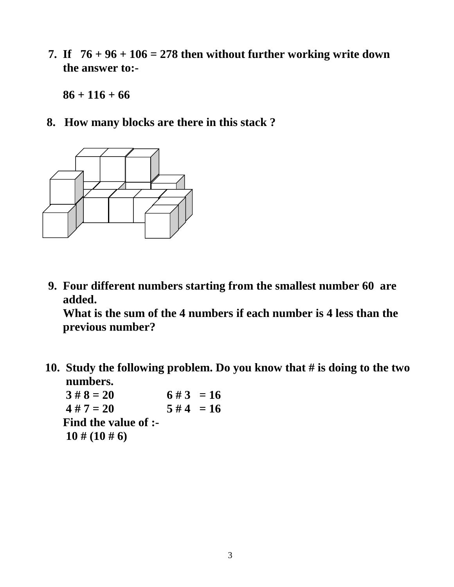**7.** If  $76 + 96 + 106 = 278$  then without further working write down  **the answer to:-**

**86 + 116 + 66**

**8. How many blocks are there in this stack ?**



 **9. Four different numbers starting from the smallest number 60 are added.**

**What is the sum of the 4 numbers if each number is 4 less than the previous number?**

 **10. Study the following problem. Do you know that # is doing to the two numbers.**

 $3 \# 8 = 20$  6 # 3 = 16  $4 \# 7 = 20$   $5 \# 4 = 16$ **Find the value of :- 10 # (10 # 6)**